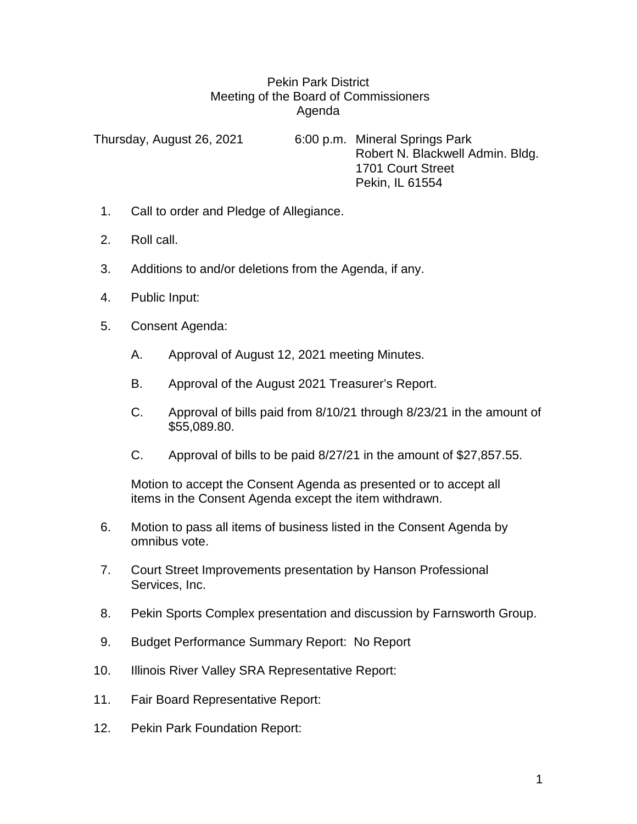## Pekin Park District Meeting of the Board of Commissioners Agenda

Thursday, August 26, 2021 6:00 p.m. Mineral Springs Park Robert N. Blackwell Admin. Bldg. 1701 Court Street Pekin, IL 61554

- 1. Call to order and Pledge of Allegiance.
- 2. Roll call.
- 3. Additions to and/or deletions from the Agenda, if any.
- 4. Public Input:
- 5. Consent Agenda:
	- A. Approval of August 12, 2021 meeting Minutes.
	- B. Approval of the August 2021 Treasurer's Report.
	- C. Approval of bills paid from 8/10/21 through 8/23/21 in the amount of \$55,089.80.
	- C. Approval of bills to be paid 8/27/21 in the amount of \$27,857.55.

Motion to accept the Consent Agenda as presented or to accept all items in the Consent Agenda except the item withdrawn.

- 6. Motion to pass all items of business listed in the Consent Agenda by omnibus vote.
- 7. Court Street Improvements presentation by Hanson Professional Services, Inc.
- 8. Pekin Sports Complex presentation and discussion by Farnsworth Group.
- 9. Budget Performance Summary Report: No Report
- 10. Illinois River Valley SRA Representative Report:
- 11. Fair Board Representative Report:
- 12. Pekin Park Foundation Report: